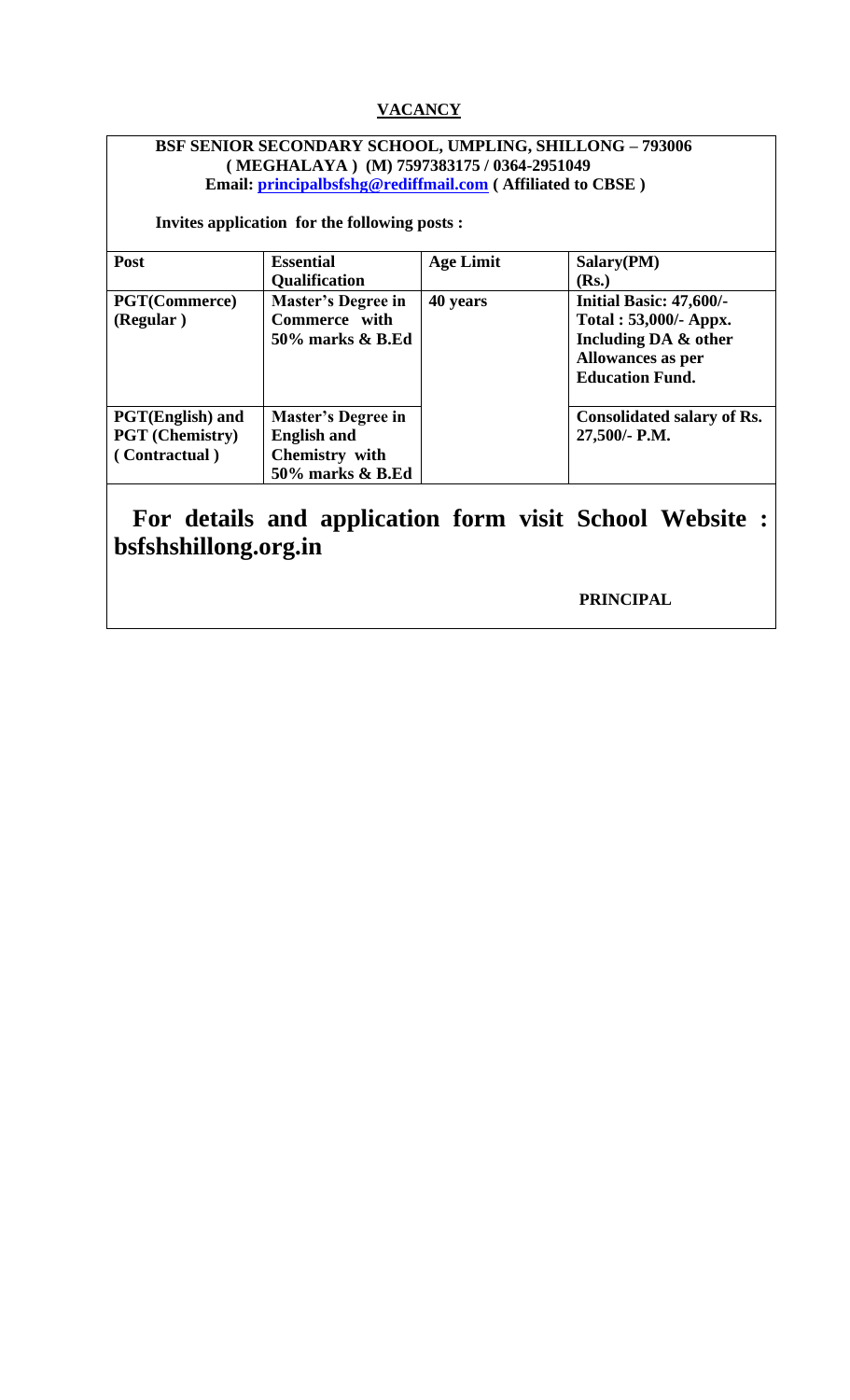### **VACANCY**

#### **BSF SENIOR SECONDARY SCHOOL, UMPLING, SHILLONG – 793006 ( MEGHALAYA ) (M) 7597383175 / 0364-2951049 Email: [principalbsfshg@rediffmail.com](mailto:principalbsfshg@rediffmail.com) ( Affiliated to CBSE )**

 **Invites application for the following posts :** 

| Post                    | <b>Essential</b>          | <b>Age Limit</b> | Salary(PM)                        |
|-------------------------|---------------------------|------------------|-----------------------------------|
|                         | <b>Qualification</b>      |                  | ( <b>Rs.</b> )                    |
| <b>PGT(Commerce)</b>    | <b>Master's Degree in</b> | 40 years         | Initial Basic: 47,600/-           |
| (Regular)               | Commerce with             |                  | Total: 53,000/- Appx.             |
|                         | 50% marks & B.Ed          |                  | Including DA & other              |
|                         |                           |                  | <b>Allowances as per</b>          |
|                         |                           |                  | <b>Education Fund.</b>            |
|                         |                           |                  |                                   |
| <b>PGT(English)</b> and | <b>Master's Degree in</b> |                  | <b>Consolidated salary of Rs.</b> |
| <b>PGT</b> (Chemistry)  | <b>English and</b>        |                  | 27,500/- P.M.                     |
| (Contractual)           | Chemistry with            |                  |                                   |
|                         | 50% marks & B.Ed          |                  |                                   |

# **For details and application form visit School Website : bsfshshillong.org.in**

 **PRINCIPAL**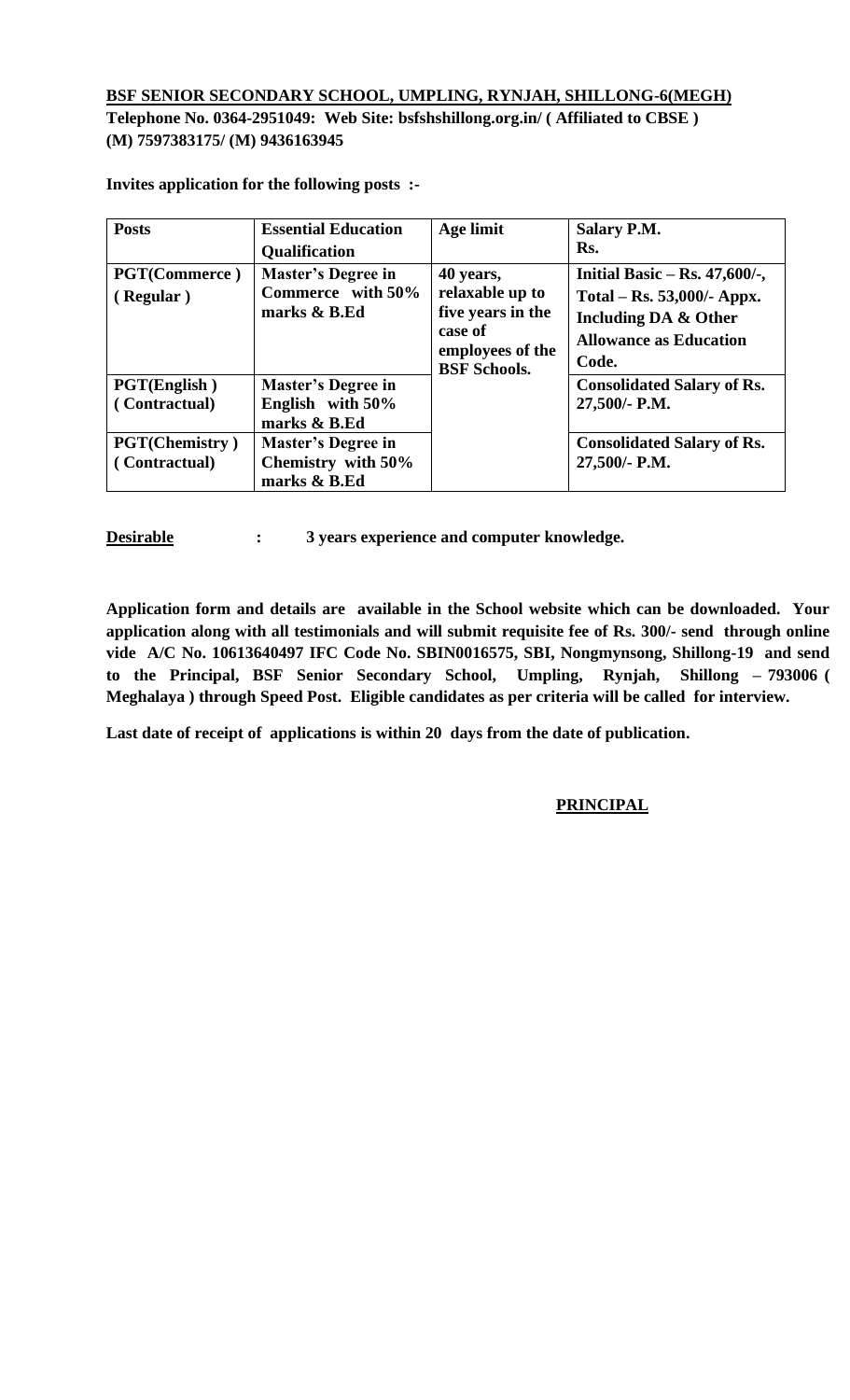#### **BSF SENIOR SECONDARY SCHOOL, UMPLING, RYNJAH, SHILLONG-6(MEGH) Telephone No. 0364-2951049: Web Site: bsfshshillong.org.in/ ( Affiliated to CBSE ) (M) 7597383175/ (M) 9436163945**

| <b>Posts</b>                           | <b>Essential Education</b><br><b>Qualification</b>              | Age limit                                                                                               | <b>Salary P.M.</b><br>Rs.                                                                                                        |
|----------------------------------------|-----------------------------------------------------------------|---------------------------------------------------------------------------------------------------------|----------------------------------------------------------------------------------------------------------------------------------|
| <b>PGT(Commerce)</b><br>(Regular)      | <b>Master's Degree in</b><br>Commerce with 50%<br>marks & B.Ed  | 40 years,<br>relaxable up to<br>five years in the<br>case of<br>employees of the<br><b>BSF Schools.</b> | Initial Basic – Rs. $47,600/$ -,<br>Total – Rs. 53,000/- Appx.<br>Including DA & Other<br><b>Allowance as Education</b><br>Code. |
| <b>PGT(English)</b><br>(Contractual)   | <b>Master's Degree in</b><br>English with 50%<br>marks & B.Ed   |                                                                                                         | <b>Consolidated Salary of Rs.</b><br>27,500/- P.M.                                                                               |
| <b>PGT(Chemistry)</b><br>(Contractual) | <b>Master's Degree in</b><br>Chemistry with 50%<br>marks & B.Ed |                                                                                                         | <b>Consolidated Salary of Rs.</b><br>27,500/- P.M.                                                                               |

**Invites application for the following posts :-**

**Desirable : 3 years experience and computer knowledge.** 

**Application form and details are available in the School website which can be downloaded. Your application along with all testimonials and will submit requisite fee of Rs. 300/- send through online vide A/C No. 10613640497 IFC Code No. SBIN0016575, SBI, Nongmynsong, Shillong-19 and send to the Principal, BSF Senior Secondary School, Umpling, Rynjah, Shillong – 793006 ( Meghalaya ) through Speed Post. Eligible candidates as per criteria will be called for interview.** 

**Last date of receipt of applications is within 20 days from the date of publication.** 

#### **PRINCIPAL**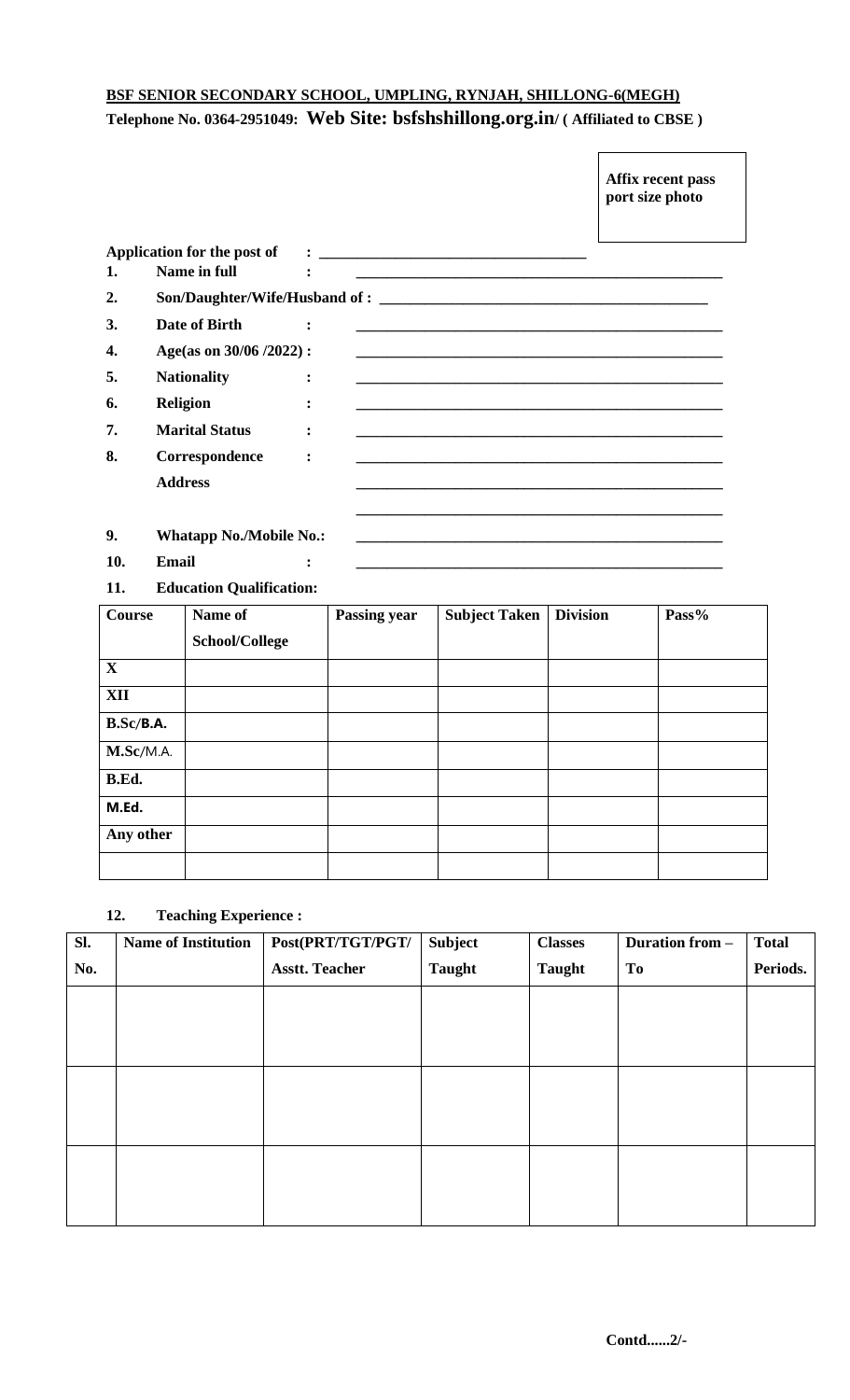## **BSF SENIOR SECONDARY SCHOOL, UMPLING, RYNJAH, SHILLONG-6(MEGH) Telephone No. 0364-2951049: Web Site: bsfshshillong.org.in/ ( Affiliated to CBSE )**

|     |                                |                                                                                                                       | Affix recent pass<br>port size photo |
|-----|--------------------------------|-----------------------------------------------------------------------------------------------------------------------|--------------------------------------|
|     | Application for the post of    |                                                                                                                       |                                      |
| 1.  | Name in full                   | <u> 1989 - Johann Barn, amerikan berkema dan berkema dalam berkema dalam berkema dalam berkema dalam berkema dala</u> |                                      |
| 2.  |                                | Son/Daughter/Wife/Husband of :                                                                                        |                                      |
| 3.  | Date of Birth                  |                                                                                                                       |                                      |
| 4.  | Age(as on 30/06/2022):         |                                                                                                                       |                                      |
| 5.  | <b>Nationality</b>             |                                                                                                                       |                                      |
| 6.  | <b>Religion</b>                |                                                                                                                       |                                      |
| 7.  | <b>Marital Status</b>          |                                                                                                                       |                                      |
| 8.  | Correspondence                 | $\ddot{\cdot}$                                                                                                        |                                      |
|     | <b>Address</b>                 |                                                                                                                       |                                      |
| 9.  | <b>Whatapp No./Mobile No.:</b> |                                                                                                                       |                                      |
| 10. | Email                          |                                                                                                                       |                                      |

**11. Education Qualification:**

| <b>Course</b> | Name of        | <b>Passing year</b> | <b>Subject Taken</b> | <b>Division</b> | Pass% |
|---------------|----------------|---------------------|----------------------|-----------------|-------|
|               | School/College |                     |                      |                 |       |
| $\mathbf{X}$  |                |                     |                      |                 |       |
| <b>XII</b>    |                |                     |                      |                 |       |
| B.Sc/B.A.     |                |                     |                      |                 |       |
| M.Sc/M.A.     |                |                     |                      |                 |       |
| B.Ed.         |                |                     |                      |                 |       |
| M.Ed.         |                |                     |                      |                 |       |
| Any other     |                |                     |                      |                 |       |
|               |                |                     |                      |                 |       |

#### **12. Teaching Experience :**

| Sl. | <b>Name of Institution</b> | Post(PRT/TGT/PGT/     | <b>Subject</b> | <b>Classes</b> | <b>Duration from -</b> | <b>Total</b> |
|-----|----------------------------|-----------------------|----------------|----------------|------------------------|--------------|
| No. |                            | <b>Asstt. Teacher</b> | <b>Taught</b>  | <b>Taught</b>  | To                     | Periods.     |
|     |                            |                       |                |                |                        |              |
|     |                            |                       |                |                |                        |              |
|     |                            |                       |                |                |                        |              |
|     |                            |                       |                |                |                        |              |
|     |                            |                       |                |                |                        |              |
|     |                            |                       |                |                |                        |              |
|     |                            |                       |                |                |                        |              |
|     |                            |                       |                |                |                        |              |
|     |                            |                       |                |                |                        |              |